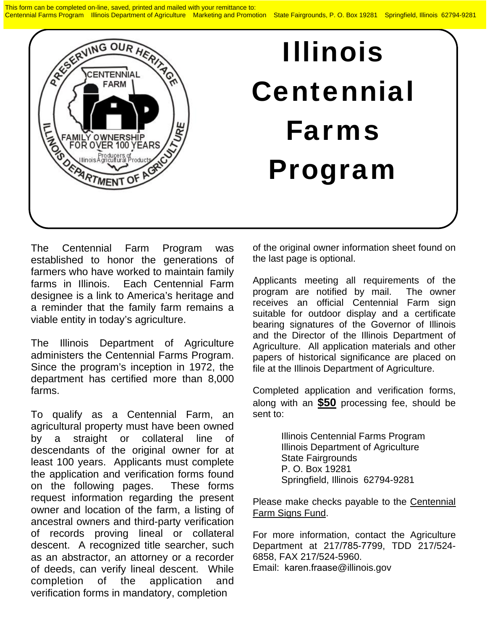This form can be completed on-line, saved, printed and mailed with your remittance to: Centennial Farms Program Illinois Department of Agriculture Marketing and Promotion State Fairgrounds, P. O. Box 19281 Springfield, Illinois 62794-9281



## Illinois Centennial Farms Program

The Centennial Farm Program was established to honor the generations of farmers who have worked to maintain family farms in Illinois. Each Centennial Farm designee is a link to America's heritage and a reminder that the family farm remains a viable entity in today's agriculture.

The Illinois Department of Agriculture administers the Centennial Farms Program. Since the program's inception in 1972, the department has certified more than 8,000 farms.

To qualify as a Centennial Farm, an agricultural property must have been owned by a straight or collateral line of descendants of the original owner for at least 100 years. Applicants must complete the application and verification forms found on the following pages. These forms request information regarding the present owner and location of the farm, a listing of ancestral owners and third-party verification of records proving lineal or collateral descent. A recognized title searcher, such as an abstractor, an attorney or a recorder of deeds, can verify lineal descent. While completion of the application and verification forms in mandatory, completion

of the original owner information sheet found on the last page is optional.

Applicants meeting all requirements of the program are notified by mail. The owner receives an official Centennial Farm sign suitable for outdoor display and a certificate bearing signatures of the Governor of Illinois and the Director of the Illinois Department of Agriculture. All application materials and other papers of historical significance are placed on file at the Illinois Department of Agriculture.

Completed application and verification forms, along with an **\$50** processing fee, should be sent to:

> Illinois Centennial Farms Program Illinois Department of Agriculture State Fairgrounds P. O. Box 19281 Springfield, Illinois 62794-9281

Please make checks payable to the Centennial Farm Signs Fund.

For more information, contact the Agriculture Department at 217/785-7799, TDD 217/524- 6858, FAX 217/524-5960. Email: karen.fraase@illinois.gov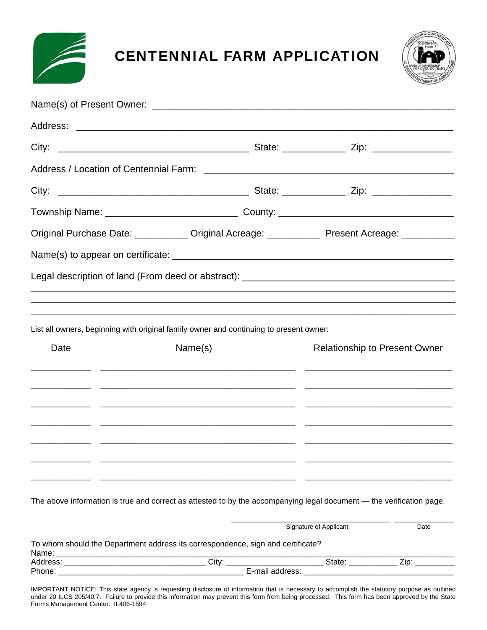

## CENTENNIAL FARM APPLICATION



|      |         |                                                                                        | Original Purchase Date: ___________ Original Acreage: ___________ Present Acreage: __________                        |
|------|---------|----------------------------------------------------------------------------------------|----------------------------------------------------------------------------------------------------------------------|
|      |         |                                                                                        |                                                                                                                      |
|      |         |                                                                                        |                                                                                                                      |
|      |         |                                                                                        |                                                                                                                      |
|      |         |                                                                                        |                                                                                                                      |
|      |         | List all owners, beginning with original family owner and continuing to present owner: |                                                                                                                      |
| Date | Name(s) |                                                                                        | <b>Relationship to Present Owner</b>                                                                                 |
|      |         |                                                                                        |                                                                                                                      |
|      |         |                                                                                        |                                                                                                                      |
|      |         |                                                                                        |                                                                                                                      |
|      |         |                                                                                        |                                                                                                                      |
|      |         |                                                                                        |                                                                                                                      |
|      |         |                                                                                        |                                                                                                                      |
|      |         |                                                                                        | The above information is true and correct as attested to by the accompanying legal document - the verification page. |
|      |         |                                                                                        |                                                                                                                      |

To whom should the Department address its correspondence, sign and certificate? Name: \_\_\_\_\_\_\_\_\_\_\_\_\_\_\_\_\_\_\_\_\_\_\_\_\_\_\_\_\_\_\_\_\_\_\_\_\_\_\_\_\_\_\_\_\_\_\_\_\_\_\_\_\_\_\_\_\_\_\_\_\_\_\_\_\_\_\_\_\_\_\_\_\_\_\_\_\_\_\_\_\_\_\_\_\_\_\_\_\_\_ Address: \_\_\_\_\_\_\_\_\_\_\_\_\_\_\_\_\_\_\_\_\_\_\_\_\_\_\_\_\_\_\_\_ City: \_\_\_\_\_\_\_\_\_\_\_\_\_\_\_\_\_\_\_\_\_\_ State: \_\_\_\_\_\_\_\_\_\_\_ Zip: \_\_\_\_\_\_\_\_\_ Phone: \_\_\_\_\_\_\_\_\_\_\_\_\_\_\_\_\_\_\_\_\_\_\_\_\_\_\_\_\_\_\_\_\_\_\_\_\_\_\_\_\_\_ E-mail address: \_\_\_\_\_\_\_\_\_\_\_\_\_\_\_\_\_\_\_\_\_\_\_\_\_\_\_\_\_\_\_\_\_\_

Signature of Applicant Date

IMPORTANT NOTICE: This state agency is requesting disclosure of information that is necessary to accomplish the statutory purpose as outlined under 20 ILCS 205/40.7. Failure to provide this information may prevent this form from being processed. This form has been approved by the State Forms Management Center. IL406-1594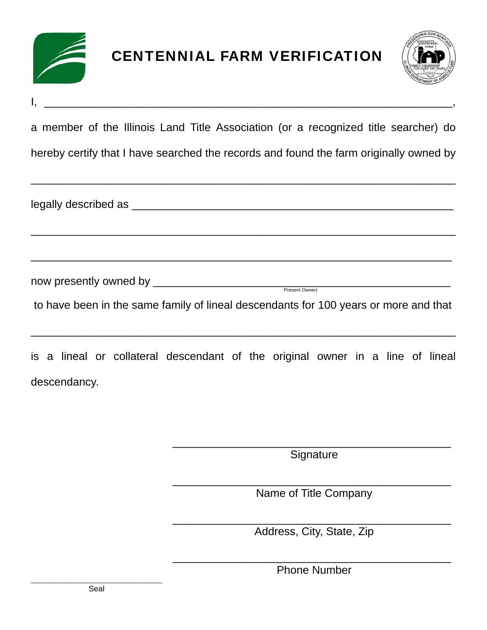



a member of the Illinois Land Title Association (or a recognized title searcher) do

 $\frac{1}{2}$  ,  $\frac{1}{2}$  ,  $\frac{1}{2}$  ,  $\frac{1}{2}$  ,  $\frac{1}{2}$  ,  $\frac{1}{2}$  ,  $\frac{1}{2}$  ,  $\frac{1}{2}$  ,  $\frac{1}{2}$  ,  $\frac{1}{2}$  ,  $\frac{1}{2}$  ,  $\frac{1}{2}$  ,  $\frac{1}{2}$  ,  $\frac{1}{2}$  ,  $\frac{1}{2}$  ,  $\frac{1}{2}$  ,  $\frac{1}{2}$  ,  $\frac{1}{2}$  ,  $\frac{1$ 

hereby certify that I have searched the records and found the farm originally owned by

\_\_\_\_\_\_\_\_\_\_\_\_\_\_\_\_\_\_\_\_\_\_\_\_\_\_\_\_\_\_\_\_\_\_\_\_\_\_\_\_\_\_\_\_\_\_\_\_\_\_\_\_\_\_\_\_\_\_\_\_\_\_\_\_\_\_\_\_

\_\_\_\_\_\_\_\_\_\_\_\_\_\_\_\_\_\_\_\_\_\_\_\_\_\_\_\_\_\_\_\_\_\_\_\_\_\_\_\_\_\_\_\_\_\_\_\_\_\_\_\_\_\_\_\_\_\_\_\_\_\_\_\_\_\_\_\_

\_\_\_\_\_\_\_\_\_\_\_\_\_\_\_\_\_\_\_\_\_\_\_\_\_\_\_\_\_\_\_\_\_\_\_\_\_\_\_\_\_\_\_\_\_\_\_\_\_\_\_\_\_\_\_\_\_\_\_\_\_\_\_\_\_\_\_\_

legally described as \_\_\_\_\_\_\_\_\_\_\_\_\_\_\_\_\_\_\_\_\_\_\_\_\_\_\_\_\_\_\_\_\_\_\_\_\_\_\_\_\_\_\_\_\_\_\_\_\_\_\_\_

now presently owned by \_\_\_\_\_\_\_\_\_\_\_\_\_\_\_\_\_\_\_\_\_\_\_\_\_\_\_\_\_\_\_\_\_\_\_\_\_\_\_\_\_\_\_\_\_\_\_\_ Present Owner)

to have been in the same family of lineal descendants for 100 years or more and that

\_\_\_\_\_\_\_\_\_\_\_\_\_\_\_\_\_\_\_\_\_\_\_\_\_\_\_\_\_\_\_\_\_\_\_\_\_\_\_\_\_\_\_\_\_\_\_\_\_\_\_\_\_\_\_\_\_\_\_\_\_\_\_\_\_\_\_\_

is a lineal or collateral descendant of the original owner in a line of lineal descendancy.

> \_\_\_\_\_\_\_\_\_\_\_\_\_\_\_\_\_\_\_\_\_\_\_\_\_\_\_\_\_\_\_\_\_\_\_\_\_\_\_\_\_\_\_\_\_ **Signature**

> \_\_\_\_\_\_\_\_\_\_\_\_\_\_\_\_\_\_\_\_\_\_\_\_\_\_\_\_\_\_\_\_\_\_\_\_\_\_\_\_\_\_\_\_\_ Name of Title Company

> \_\_\_\_\_\_\_\_\_\_\_\_\_\_\_\_\_\_\_\_\_\_\_\_\_\_\_\_\_\_\_\_\_\_\_\_\_\_\_\_\_\_\_\_\_ Address, City, State, Zip

> \_\_\_\_\_\_\_\_\_\_\_\_\_\_\_\_\_\_\_\_\_\_\_\_\_\_\_\_\_\_\_\_\_\_\_\_\_\_\_\_\_\_\_\_\_ Phone Number